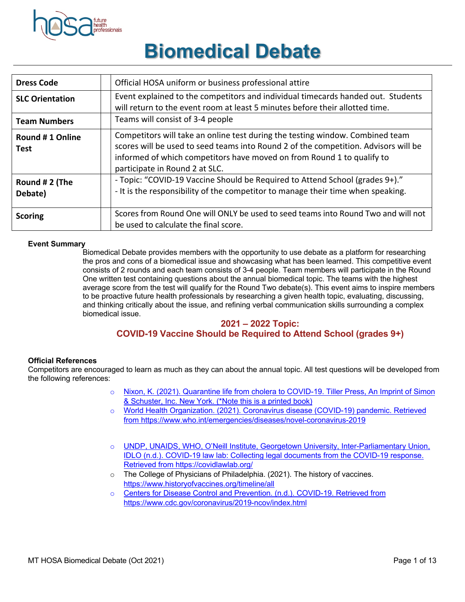

# **Biomedical Debate**

| <b>Dress Code</b>              | Official HOSA uniform or business professional attire                                                                                                                                                                                                                            |
|--------------------------------|----------------------------------------------------------------------------------------------------------------------------------------------------------------------------------------------------------------------------------------------------------------------------------|
| <b>SLC Orientation</b>         | Event explained to the competitors and individual timecards handed out. Students<br>will return to the event room at least 5 minutes before their allotted time.                                                                                                                 |
| <b>Team Numbers</b>            | Teams will consist of 3-4 people                                                                                                                                                                                                                                                 |
| Round #1 Online<br><b>Test</b> | Competitors will take an online test during the testing window. Combined team<br>scores will be used to seed teams into Round 2 of the competition. Advisors will be<br>informed of which competitors have moved on from Round 1 to qualify to<br>participate in Round 2 at SLC. |
| Round # 2 (The<br>Debate)      | - Topic: "COVID-19 Vaccine Should be Required to Attend School (grades 9+)."<br>- It is the responsibility of the competitor to manage their time when speaking.                                                                                                                 |
| <b>Scoring</b>                 | Scores from Round One will ONLY be used to seed teams into Round Two and will not<br>be used to calculate the final score.                                                                                                                                                       |

#### **Event Summary**

Biomedical Debate provides members with the opportunity to use debate as a platform for researching the pros and cons of a biomedical issue and showcasing what has been learned. This competitive event consists of 2 rounds and each team consists of 3-4 people. Team members will participate in the Round One written test containing questions about the annual biomedical topic. The teams with the highest average score from the test will qualify for the Round Two debate(s). This event aims to inspire members to be proactive future health professionals by researching a given health topic, evaluating, discussing, and thinking critically about the issue, and refining verbal communication skills surrounding a complex biomedical issue.

#### **2021 – 2022 Topic:**

### **COVID-19 Vaccine Should be Required to Attend School (grades 9+)**

#### **Official References**

Competitors are encouraged to learn as much as they can about the annual topic. All test questions will be developed from the following references:

- o Nixon, K. (2021). Quarantine life from cholera to COVID-19. Tiller Press, An Imprint of Simon & Schuster, Inc. New York. (\*Note this is a printed book)
- o World Health Organization. (2021). Coronavirus disease (COVID-19) pandemic. Retrieved from https://www.who.int/emergencies/diseases/novel-coronavirus-2019
- o UNDP, UNAIDS, WHO, O'Neill Institute, Georgetown University, Inter-Parliamentary Union, IDLO (n.d.). COVID-19 law lab: Collecting legal documents from the COVID-19 response. Retrieved from https://covidlawlab.org/
- o The College of Physicians of Philadelphia. (2021). The history of vaccines. https://www.historyofvaccines.org/timeline/all
- o Centers for Disease Control and Prevention. (n.d.). COVID-19. Retrieved from https://www.cdc.gov/coronavirus/2019-ncov/index.html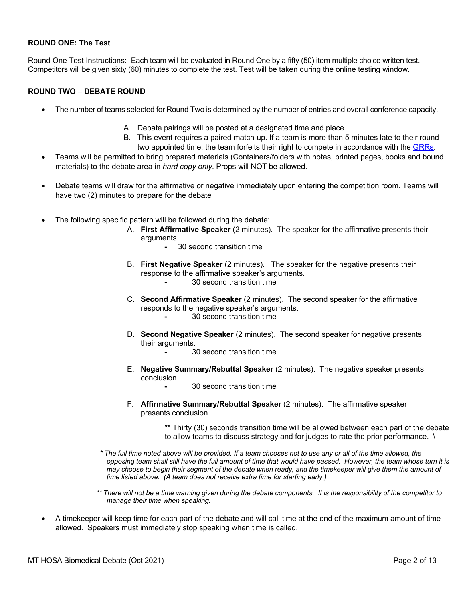#### **ROUND ONE: The Test**

Round One Test Instructions: Each team will be evaluated in Round One by a fifty (50) item multiple choice written test. Competitors will be given sixty (60) minutes to complete the test. Test will be taken during the online testing window.

#### **ROUND TWO – DEBATE ROUND**

- The number of teams selected for Round Two is determined by the number of entries and overall conference capacity.
	- A. Debate pairings will be posted at a designated time and place.
	- B. This event requires a paired match-up. If a team is more than 5 minutes late to their round two appointed time, the team forfeits their right to compete in accordance with the GRRs.
- Teams will be permitted to bring prepared materials (Containers/folders with notes, printed pages, books and bound materials) to the debate area in *hard copy only*. Props will NOT be allowed.
- Debate teams will draw for the affirmative or negative immediately upon entering the competition room. Teams will have two (2) minutes to prepare for the debate
- The following specific pattern will be followed during the debate:
	- A. **First Affirmative Speaker** (2 minutes). The speaker for the affirmative presents their arguments.
		- **-** 30 second transition time
	- B. **First Negative Speaker** (2 minutes). The speaker for the negative presents their response to the affirmative speaker's arguments. **-** 30 second transition time
		-
	- C. **Second Affirmative Speaker** (2 minutes). The second speaker for the affirmative responds to the negative speaker's arguments.
		- **-** 30 second transition time
	- D. **Second Negative Speaker** (2 minutes). The second speaker for negative presents their arguments.
		- **-** 30 second transition time
	- E. **Negative Summary/Rebuttal Speaker** (2 minutes). The negative speaker presents conclusion.
		- **-** 30 second transition time
	- F. **Affirmative Summary/Rebuttal Speaker** (2 minutes). The affirmative speaker presents conclusion.
		- \*\* Thirty (30) seconds transition time will be allowed between each part of the debate to allow teams to discuss strategy and for judges to rate the prior performance.  $\lambda$
	- *\* The full time noted above will be provided. If a team chooses not to use any or all of the time allowed, the opposing team shall still have the full amount of time that would have passed. However, the team whose turn it is may choose to begin their segment of the debate when ready, and the timekeeper will give them the amount of time listed above. (A team does not receive extra time for starting early.)*
	- *\*\* There will not be a time warning given during the debate components. It is the responsibility of the competitor to manage their time when speaking.*
- A timekeeper will keep time for each part of the debate and will call time at the end of the maximum amount of time allowed. Speakers must immediately stop speaking when time is called.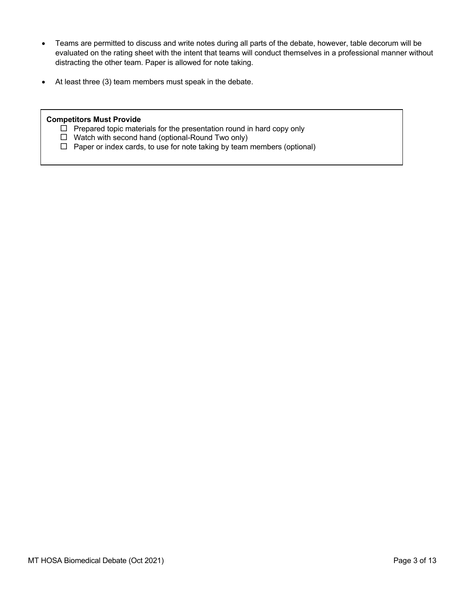- Teams are permitted to discuss and write notes during all parts of the debate, however, table decorum will be evaluated on the rating sheet with the intent that teams will conduct themselves in a professional manner without distracting the other team. Paper is allowed for note taking.
- At least three (3) team members must speak in the debate.

#### **Competitors Must Provide**

- $\Box$  Prepared topic materials for the presentation round in hard copy only
- $\Box$  Watch with second hand (optional-Round Two only)
- $\Box$  Paper or index cards, to use for note taking by team members (optional)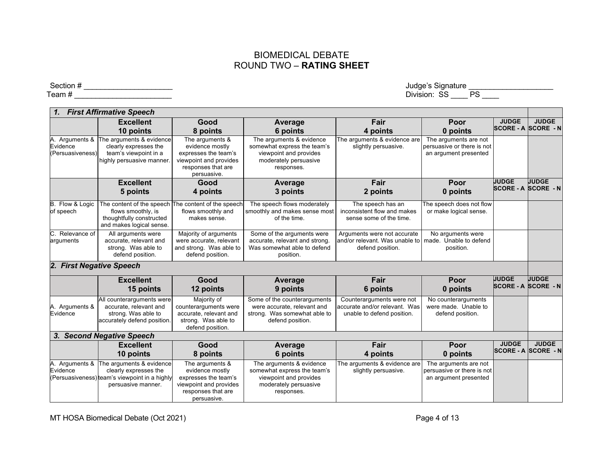## BIOMEDICAL DEBATE ROUND TWO – **RATING SHEET**

 $\sf Section \#\_\_\_\_\_\_\_\_$ 

| <b>First Affirmative Speech</b>             |                                                                                                                                   |                                                                                                                           |                                                                                                                          |                                                                                           |                                                                              |                                            |              |
|---------------------------------------------|-----------------------------------------------------------------------------------------------------------------------------------|---------------------------------------------------------------------------------------------------------------------------|--------------------------------------------------------------------------------------------------------------------------|-------------------------------------------------------------------------------------------|------------------------------------------------------------------------------|--------------------------------------------|--------------|
|                                             | <b>Excellent</b><br>10 points                                                                                                     | Good<br>8 points                                                                                                          | Average<br>6 points                                                                                                      | Fair<br>4 points                                                                          | Poor<br>0 points                                                             | <b>JUDGE</b><br><b>SCORE - A SCORE - N</b> | <b>JUDGE</b> |
| Arguments &<br>Evidence<br>(Persuasiveness) | The arguments & evidence<br>clearly expresses the<br>team's viewpoint in a<br>highly persuasive manner.                           | The arguments &<br>evidence mostly<br>expresses the team's<br>viewpoint and provides<br>responses that are<br>persuasive. | The arguments & evidence<br>somewhat express the team's<br>viewpoint and provides<br>moderately persuasive<br>responses. | The arguments & evidence are<br>slightly persuasive.                                      | The arguments are not<br>persuasive or there is not<br>an argument presented |                                            |              |
|                                             | <b>Excellent</b>                                                                                                                  | Good                                                                                                                      | Average                                                                                                                  | Fair                                                                                      | Poor                                                                         | <b>JUDGE</b>                               | <b>JUDGE</b> |
|                                             | 5 points                                                                                                                          | 4 points                                                                                                                  | 3 points                                                                                                                 | 2 points                                                                                  | 0 points                                                                     | SCORE - A SCORE - N                        |              |
| B. Flow & Logic<br>of speech                | The content of the speech The content of the speech<br>flows smoothly, is<br>thoughtfully constructed<br>and makes logical sense. | flows smoothly and<br>makes sense.                                                                                        | The speech flows moderately<br>smoothly and makes sense most<br>of the time.                                             | The speech has an<br>inconsistent flow and makes<br>sense some of the time.               | The speech does not flow<br>or make logical sense.                           |                                            |              |
| Relevance of<br>C.<br>arguments             | All arguments were<br>accurate, relevant and<br>strong. Was able to<br>defend position.                                           | Majority of arguments<br>were accurate, relevant<br>and strong. Was able to<br>defend position.                           | Some of the arguments were<br>accurate, relevant and strong.<br>Was somewhat able to defend<br>position.                 | Arguments were not accurate<br>land/or relevant. Was unable to<br>defend position.        | No arguments were<br>made. Unable to defend<br>position.                     |                                            |              |
| 2. First Negative Speech                    |                                                                                                                                   |                                                                                                                           |                                                                                                                          |                                                                                           |                                                                              |                                            |              |
|                                             | <b>Excellent</b><br>15 points                                                                                                     | Good<br>12 points                                                                                                         | Average<br>9 points                                                                                                      | Fair<br>6 points                                                                          | Poor<br>0 points                                                             | <b>UUDGE</b><br><b>SCORE - A SCORE - N</b> | <b>JUDGE</b> |
| A. Arguments &<br>Evidence                  | All counterarguments were<br>accurate, relevant and<br>strong. Was able to<br>accurately defend position.                         | Majority of<br>counterarguments were<br>accurate, relevant and<br>strong. Was able to<br>defend position.                 | Some of the counterarguments<br>were accurate, relevant and<br>strong. Was somewhat able to<br>defend position.          | Counterarguments were not<br>laccurate and/or relevant. Was<br>unable to defend position. | No counterarguments<br>were made. Unable to<br>defend position.              |                                            |              |
|                                             | 3. Second Negative Speech                                                                                                         |                                                                                                                           |                                                                                                                          |                                                                                           |                                                                              |                                            |              |
|                                             | <b>Excellent</b><br>10 points                                                                                                     | Good<br>8 points                                                                                                          | <b>Average</b><br>6 points                                                                                               | Fair<br>4 points                                                                          | Poor<br>0 points                                                             | <b>JUDGE</b><br> SCORE - A  SCORE  - N     | <b>JUDGE</b> |
| A. Arguments &<br>Evidence                  | The arguments & evidence<br>clearly expresses the<br>(Persuasiveness) team's viewpoint in a highly<br>persuasive manner.          | The arguments &<br>evidence mostly<br>expresses the team's<br>viewpoint and provides<br>responses that are<br>persuasive. | The arguments & evidence<br>somewhat express the team's<br>viewpoint and provides<br>moderately persuasive<br>responses. | The arguments & evidence are<br>slightly persuasive.                                      | The arguments are not<br>persuasive or there is not<br>an argument presented |                                            |              |

## Team # \_\_\_\_\_\_\_\_\_\_\_\_\_\_\_\_\_\_\_\_\_\_\_ Division: SS \_\_\_\_ PS \_\_\_\_

MT HOSA Biomedical Debate (Oct 2021) **Page 4 of 13**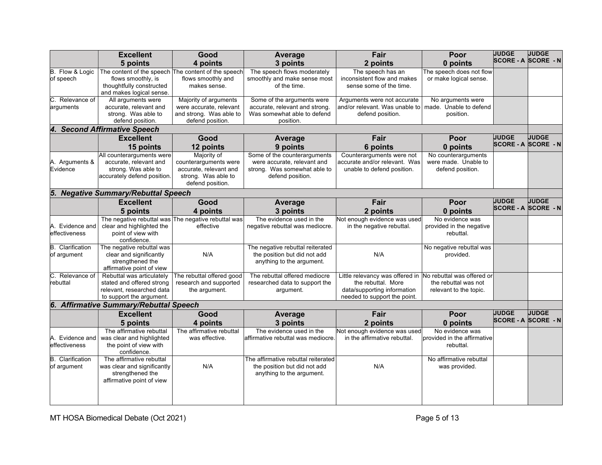|                                        | <b>Excellent</b>                                                                                          | Good                                                                                                      | Average                                                                                                         | Fair                                                                                     | Poor                                                            | <b>JUDGE</b>               | <b>JUDGE</b>     |
|----------------------------------------|-----------------------------------------------------------------------------------------------------------|-----------------------------------------------------------------------------------------------------------|-----------------------------------------------------------------------------------------------------------------|------------------------------------------------------------------------------------------|-----------------------------------------------------------------|----------------------------|------------------|
|                                        | 5 points                                                                                                  | 4 points                                                                                                  | 3 points                                                                                                        | 2 points                                                                                 | 0 points                                                        | <b>SCORE - A SCORE - N</b> |                  |
| B. Flow & Logic<br>of speech           | The content of the speech The content of the speech<br>flows smoothly, is                                 | flows smoothly and                                                                                        | The speech flows moderately<br>smoothly and make sense most                                                     | The speech has an<br>inconsistent flow and makes                                         | The speech does not flow<br>or make logical sense.              |                            |                  |
|                                        | thoughtfully constructed<br>and makes logical sense.                                                      | makes sense.                                                                                              | of the time.                                                                                                    | sense some of the time.                                                                  |                                                                 |                            |                  |
| Relevance of                           | All arguments were                                                                                        | Majority of arguments                                                                                     | Some of the arguments were                                                                                      | Arguments were not accurate                                                              | No arguments were                                               |                            |                  |
| arguments                              | accurate, relevant and                                                                                    | were accurate, relevant                                                                                   | accurate, relevant and strong.                                                                                  | and/or relevant. Was unable to                                                           | made. Unable to defend                                          |                            |                  |
|                                        | strong. Was able to<br>defend position.                                                                   | and strong. Was able to<br>defend position.                                                               | Was somewhat able to defend<br>position.                                                                        | defend position.                                                                         | position.                                                       |                            |                  |
|                                        | 4. Second Affirmative Speech                                                                              |                                                                                                           |                                                                                                                 |                                                                                          |                                                                 |                            |                  |
|                                        | <b>Excellent</b>                                                                                          | Good                                                                                                      | Average                                                                                                         | Fair                                                                                     | Poor                                                            | <b>JUDGE</b>               | <b>JUDGE</b>     |
|                                        | 15 points                                                                                                 | 12 points                                                                                                 | 9 points                                                                                                        | 6 points                                                                                 | 0 points                                                        | <b>SCORE - A</b>           | <b>SCORE - N</b> |
| A. Arguments &<br>Evidence             | All counterarguments were<br>accurate, relevant and<br>strong. Was able to<br>accurately defend position. | Majority of<br>counterarguments were<br>accurate, relevant and<br>strong. Was able to<br>defend position. | Some of the counterarguments<br>were accurate, relevant and<br>strong. Was somewhat able to<br>defend position. | Counterarguments were not<br>accurate and/or relevant. Was<br>unable to defend position. | No counterarguments<br>were made. Unable to<br>defend position. |                            |                  |
|                                        | 5. Negative Summary/Rebuttal Speech                                                                       |                                                                                                           |                                                                                                                 |                                                                                          |                                                                 |                            |                  |
|                                        | <b>Excellent</b>                                                                                          | Good                                                                                                      | Average                                                                                                         | Fair                                                                                     | Poor                                                            | <b>JUDGE</b>               | <b>JUDGE</b>     |
|                                        | 5 points                                                                                                  | 4 points                                                                                                  | 3 points                                                                                                        | 2 points                                                                                 | 0 points                                                        | SCORE - A SCORE - N        |                  |
|                                        |                                                                                                           | The negative rebuttal was The negative rebuttal was                                                       | The evidence used in the                                                                                        | Not enough evidence was used                                                             | No evidence was                                                 |                            |                  |
| A. Evidence and<br>effectiveness       | clear and highlighted the<br>point of view with<br>confidence.                                            | effective                                                                                                 | negative rebuttal was mediocre.                                                                                 | in the negative rebuttal.                                                                | provided in the negative<br>rebuttal.                           |                            |                  |
| <b>B.</b> Clarification<br>of argument | The negative rebuttal was<br>clear and significantly<br>strengthened the<br>affirmative point of view     | N/A                                                                                                       | The negative rebuttal reiterated<br>the position but did not add<br>anything to the argument.                   | N/A                                                                                      | No negative rebuttal was<br>provided.                           |                            |                  |
| C.<br>Relevance of                     | Rebuttal was articulately                                                                                 | The rebuttal offered good                                                                                 | The rebuttal offered mediocre                                                                                   | Little relevancy was offered in No rebuttal was offered or                               |                                                                 |                            |                  |
| rebuttal                               | stated and offered strong                                                                                 | research and supported                                                                                    | researched data to support the                                                                                  | the rebuttal. More                                                                       | the rebuttal was not                                            |                            |                  |
|                                        | relevant, researched data                                                                                 | the argument.                                                                                             | argument.                                                                                                       | data/supporting information                                                              | relevant to the topic.                                          |                            |                  |
|                                        | to support the argument.<br>6. Affirmative Summary/Rebuttal Speech                                        |                                                                                                           |                                                                                                                 | needed to support the point.                                                             |                                                                 |                            |                  |
|                                        | <b>Excellent</b>                                                                                          | Good                                                                                                      | Average                                                                                                         | Fair                                                                                     | Poor                                                            | <b>JUDGE</b>               | <b>JUDGE</b>     |
|                                        | 5 points                                                                                                  | 4 points                                                                                                  | 3 points                                                                                                        | 2 points                                                                                 | 0 points                                                        | <b>SCORE - A SCORE - N</b> |                  |
|                                        | The affirmative rebuttal                                                                                  | The affirmative rebuttal                                                                                  | The evidence used in the                                                                                        | Not enough evidence was used                                                             | No evidence was                                                 |                            |                  |
| A. Evidence and                        | was clear and highlighted                                                                                 | was effective.                                                                                            | affirmative rebuttal was mediocre.                                                                              | in the affirmative rebuttal.                                                             | provided in the affirmative                                     |                            |                  |
| effectiveness                          | the point of view with<br>confidence.                                                                     |                                                                                                           |                                                                                                                 |                                                                                          | rebuttal.                                                       |                            |                  |
| <b>B.</b> Clarification                | The affirmative rebuttal                                                                                  |                                                                                                           | The affirmative rebuttal reiterated                                                                             |                                                                                          | No affirmative rebuttal                                         |                            |                  |
| of argument                            | was clear and significantly<br>strengthened the<br>affirmative point of view                              | N/A                                                                                                       | the position but did not add<br>anything to the argument.                                                       | N/A                                                                                      | was provided.                                                   |                            |                  |
|                                        |                                                                                                           |                                                                                                           |                                                                                                                 |                                                                                          |                                                                 |                            |                  |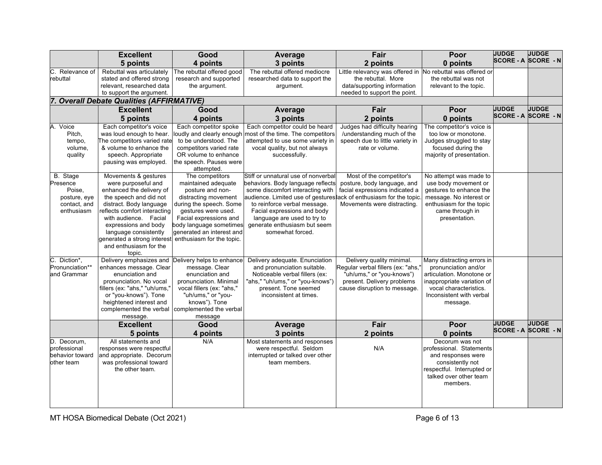|                                                                                                                      | <b>Excellent</b>                                                                                                                                                                                                                                                                              | Good                                                                                                                                                                                                                                                                                    | Average                                                                                                                                                                                                                                                                                                                                                                        | Fair                                                                                                                                                                                                                                          | Poor                                                                                                                                                                                                                                                                 | <b>JUDGE</b>                               | <b>JUDGE</b> |
|----------------------------------------------------------------------------------------------------------------------|-----------------------------------------------------------------------------------------------------------------------------------------------------------------------------------------------------------------------------------------------------------------------------------------------|-----------------------------------------------------------------------------------------------------------------------------------------------------------------------------------------------------------------------------------------------------------------------------------------|--------------------------------------------------------------------------------------------------------------------------------------------------------------------------------------------------------------------------------------------------------------------------------------------------------------------------------------------------------------------------------|-----------------------------------------------------------------------------------------------------------------------------------------------------------------------------------------------------------------------------------------------|----------------------------------------------------------------------------------------------------------------------------------------------------------------------------------------------------------------------------------------------------------------------|--------------------------------------------|--------------|
|                                                                                                                      | 5 points                                                                                                                                                                                                                                                                                      | 4 points                                                                                                                                                                                                                                                                                | 3 points                                                                                                                                                                                                                                                                                                                                                                       | 2 points                                                                                                                                                                                                                                      | 0 points                                                                                                                                                                                                                                                             | <b>SCORE - A SCORE - N</b>                 |              |
| C. Relevance of<br>rebuttal                                                                                          | Rebuttal was articulately<br>stated and offered strong                                                                                                                                                                                                                                        | The rebuttal offered good<br>research and supported                                                                                                                                                                                                                                     | The rebuttal offered mediocre<br>researched data to support the                                                                                                                                                                                                                                                                                                                | Little relevancy was offered in<br>the rebuttal. More                                                                                                                                                                                         | No rebuttal was offered or<br>the rebuttal was not                                                                                                                                                                                                                   |                                            |              |
|                                                                                                                      | relevant, researched data<br>to support the argument.                                                                                                                                                                                                                                         | the argument.                                                                                                                                                                                                                                                                           | argument.                                                                                                                                                                                                                                                                                                                                                                      | data/supporting information<br>needed to support the point.                                                                                                                                                                                   | relevant to the topic.                                                                                                                                                                                                                                               |                                            |              |
|                                                                                                                      | <b>Overall Debate Qualities (AFFIRMATIVE)</b>                                                                                                                                                                                                                                                 |                                                                                                                                                                                                                                                                                         |                                                                                                                                                                                                                                                                                                                                                                                |                                                                                                                                                                                                                                               |                                                                                                                                                                                                                                                                      |                                            |              |
|                                                                                                                      | <b>Excellent</b>                                                                                                                                                                                                                                                                              | Good                                                                                                                                                                                                                                                                                    | Average                                                                                                                                                                                                                                                                                                                                                                        | Fair                                                                                                                                                                                                                                          | Poor                                                                                                                                                                                                                                                                 | <b>JUDGE</b>                               | <b>JUDGE</b> |
|                                                                                                                      | 5 points                                                                                                                                                                                                                                                                                      | 4 points                                                                                                                                                                                                                                                                                | 3 points                                                                                                                                                                                                                                                                                                                                                                       | 2 points                                                                                                                                                                                                                                      | 0 points                                                                                                                                                                                                                                                             | <b>SCORE - A SCORE - N</b>                 |              |
| A. Voice<br>Pitch,<br>tempo,<br>volume,<br>quality<br>B. Stage<br>Presence<br>Poise,<br>posture, eye<br>contact, and | Each competitor's voice<br>was loud enough to hear.<br>The competitors varied rate<br>& volume to enhance the<br>speech. Appropriate<br>pausing was employed.<br>Movements & gestures<br>were purposeful and<br>enhanced the delivery of<br>the speech and did not<br>distract. Body language | Each competitor spoke<br>oudly and clearly enough<br>to be understood. The<br>competitors varied rate<br>OR volume to enhance<br>the speech. Pauses were<br>attempted.<br>The competitors<br>maintained adequate<br>posture and non-<br>distracting movement<br>during the speech. Some | Each competitor could be heard<br>most of the time. The competitors<br>attempted to use some variety in<br>vocal quality, but not always<br>successfully.<br>Stiff or unnatural use of nonverbal<br>behaviors. Body language reflects<br>some discomfort interacting with<br>audience. Limited use of gestures ack of enthusiasm for the topic<br>to reinforce verbal message. | Judges had difficulty hearing<br>/understanding much of the<br>speech due to little variety in<br>rate or volume.<br>Most of the competitor's<br>posture, body language, and<br>facial expressions indicated a<br>Movements were distracting. | The competitor's voice is<br>too low or monotone.<br>Judges struggled to stay<br>focused during the<br>majority of presentation.<br>No attempt was made to<br>use body movement or<br>gestures to enhance the<br>message. No interest or<br>enthusiasm for the topic |                                            |              |
| enthusiasm                                                                                                           | reflects comfort interacting<br>with audience. Facial<br>expressions and body<br>language consistently<br>generated a strong interest<br>and enthusiasm for the<br>topic.                                                                                                                     | gestures were used.<br>Facial expressions and<br>body language sometimes<br>generated an interest and<br>enthusiasm for the topic.                                                                                                                                                      | Facial expressions and body<br>language are used to try to<br>generate enthusiasm but seem<br>somewhat forced.                                                                                                                                                                                                                                                                 |                                                                                                                                                                                                                                               | came through in<br>presentation.                                                                                                                                                                                                                                     |                                            |              |
| C. Diction*,<br>Pronunciation**<br>and Grammar                                                                       | Delivery emphasizes and<br>enhances message. Clear<br>enunciation and<br>pronunciation. No vocal<br>fillers (ex: "ahs," "uh/ums,"<br>or "you-knows"). Tone<br>heightened interest and<br>complemented the verbal<br>message.                                                                  | Delivery helps to enhance<br>message. Clear<br>enunciation and<br>pronunciation. Minimal<br>vocal fillers (ex: "ahs,"<br>"uh/ums," or "you-<br>knows"). Tone<br>complemented the verbal<br>message                                                                                      | Delivery adequate. Enunciation<br>and pronunciation suitable.<br>Noticeable verbal fillers (ex:<br>"ahs," "uh/ums," or "you-knows")<br>present. Tone seemed<br>inconsistent at times.                                                                                                                                                                                          | Delivery quality minimal.<br>Regular verbal fillers (ex: "ahs,"<br>"uh/ums," or "you-knows")<br>present. Delivery problems<br>cause disruption to message.                                                                                    | Many distracting errors in<br>pronunciation and/or<br>articulation. Monotone or<br>inappropriate variation of<br>vocal characteristics.<br>Inconsistent with verbal<br>message.                                                                                      |                                            |              |
|                                                                                                                      | <b>Excellent</b>                                                                                                                                                                                                                                                                              | Good                                                                                                                                                                                                                                                                                    | Average                                                                                                                                                                                                                                                                                                                                                                        | Fair                                                                                                                                                                                                                                          | Poor                                                                                                                                                                                                                                                                 | <b>JUDGE</b><br><b>SCORE - A SCORE - N</b> | <b>JUDGE</b> |
|                                                                                                                      | 5 points                                                                                                                                                                                                                                                                                      | 4 points                                                                                                                                                                                                                                                                                | 3 points                                                                                                                                                                                                                                                                                                                                                                       | 2 points                                                                                                                                                                                                                                      | 0 points                                                                                                                                                                                                                                                             |                                            |              |
| D. Decorum.<br>professional<br>behavior toward<br>other team                                                         | All statements and<br>responses were respectful<br>and appropriate. Decorum<br>was professional toward<br>the other team.                                                                                                                                                                     | N/A                                                                                                                                                                                                                                                                                     | Most statements and responses<br>were respectful. Seldom<br>interrupted or talked over other<br>team members.                                                                                                                                                                                                                                                                  | N/A                                                                                                                                                                                                                                           | Decorum was not<br>professional. Statements<br>and responses were<br>consistently not<br>respectful. Interrupted or<br>talked over other team<br>members.                                                                                                            |                                            |              |

MT HOSA Biomedical Debate (Oct 2021) and the extent of the extent of the Page 6 of 13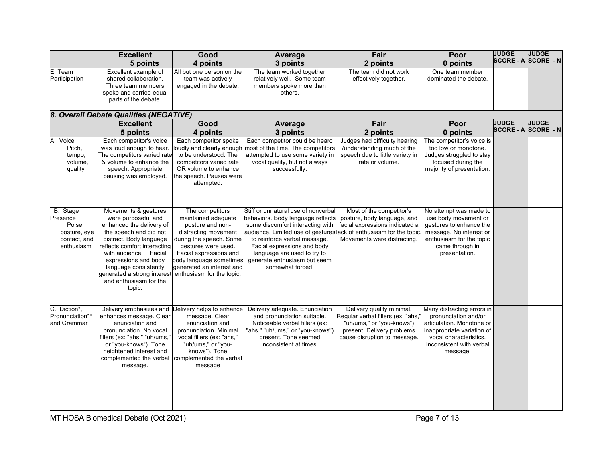|                                                                              | <b>Excellent</b>                                                                                                                                                                                                                                                                                          | Good                                                                                                                                                                                                                                                | Average                                                                                                                                                                                                                                                                                                                             | Fair                                                                                                                                                       | Poor                                                                                                                                                                            | <b>JUDGE</b> | <b>JUDGE</b><br><b>SCORE - A SCORE - N</b> |
|------------------------------------------------------------------------------|-----------------------------------------------------------------------------------------------------------------------------------------------------------------------------------------------------------------------------------------------------------------------------------------------------------|-----------------------------------------------------------------------------------------------------------------------------------------------------------------------------------------------------------------------------------------------------|-------------------------------------------------------------------------------------------------------------------------------------------------------------------------------------------------------------------------------------------------------------------------------------------------------------------------------------|------------------------------------------------------------------------------------------------------------------------------------------------------------|---------------------------------------------------------------------------------------------------------------------------------------------------------------------------------|--------------|--------------------------------------------|
|                                                                              | 5 points                                                                                                                                                                                                                                                                                                  | 4 points                                                                                                                                                                                                                                            | 3 points                                                                                                                                                                                                                                                                                                                            | 2 points                                                                                                                                                   | 0 points                                                                                                                                                                        |              |                                            |
| E. Team<br>Participation                                                     | Excellent example of<br>shared collaboration.<br>Three team members<br>spoke and carried equal<br>parts of the debate.                                                                                                                                                                                    | All but one person on the<br>team was actively<br>engaged in the debate,                                                                                                                                                                            | The team worked together<br>relatively well. Some team<br>members spoke more than<br>others.                                                                                                                                                                                                                                        | The team did not work<br>effectively together.                                                                                                             | One team member<br>dominated the debate.                                                                                                                                        |              |                                            |
|                                                                              |                                                                                                                                                                                                                                                                                                           |                                                                                                                                                                                                                                                     |                                                                                                                                                                                                                                                                                                                                     |                                                                                                                                                            |                                                                                                                                                                                 |              |                                            |
|                                                                              | 8. Overall Debate Qualities (NEGATIVE)<br><b>Excellent</b>                                                                                                                                                                                                                                                | Good                                                                                                                                                                                                                                                |                                                                                                                                                                                                                                                                                                                                     | Fair                                                                                                                                                       | Poor                                                                                                                                                                            | <b>JUDGE</b> | <b>JUDGE</b>                               |
|                                                                              | 5 points                                                                                                                                                                                                                                                                                                  | 4 points                                                                                                                                                                                                                                            | Average<br>3 points                                                                                                                                                                                                                                                                                                                 | 2 points                                                                                                                                                   | 0 points                                                                                                                                                                        |              | <b>SCORE - A SCORE - N</b>                 |
|                                                                              |                                                                                                                                                                                                                                                                                                           |                                                                                                                                                                                                                                                     |                                                                                                                                                                                                                                                                                                                                     |                                                                                                                                                            |                                                                                                                                                                                 |              |                                            |
| A. Voice<br>Pitch,<br>tempo,<br>volume,<br>quality                           | Each competitor's voice<br>was loud enough to hear.<br>The competitors varied rate<br>& volume to enhance the<br>speech. Appropriate<br>pausing was employed.                                                                                                                                             | Each competitor spoke<br>to be understood. The<br>competitors varied rate<br>OR volume to enhance<br>the speech. Pauses were<br>attempted.                                                                                                          | Each competitor could be heard<br>oudly and clearly enough most of the time. The competitors<br>attempted to use some variety in<br>vocal quality, but not always<br>successfully.                                                                                                                                                  | Judges had difficulty hearing<br>/understanding much of the<br>speech due to little variety in<br>rate or volume.                                          | The competitor's voice is<br>too low or monotone.<br>Judges struggled to stay<br>focused during the<br>majority of presentation.                                                |              |                                            |
|                                                                              |                                                                                                                                                                                                                                                                                                           |                                                                                                                                                                                                                                                     |                                                                                                                                                                                                                                                                                                                                     |                                                                                                                                                            |                                                                                                                                                                                 |              |                                            |
| B. Stage<br>Presence<br>Poise.<br>posture, eye<br>contact, and<br>enthusiasm | Movements & gestures<br>were purposeful and<br>enhanced the delivery of<br>the speech and did not<br>distract. Body language<br>reflects comfort interacting<br>with audience. Facial<br>expressions and body<br>language consistently<br>generated a strong interest<br>and enthusiasm for the<br>topic. | The competitors<br>maintained adequate<br>posture and non-<br>distracting movement<br>during the speech. Some<br>gestures were used.<br>Facial expressions and<br>body language sometimes<br>generated an interest and<br>enthusiasm for the topic. | Stiff or unnatural use of nonverbal<br>behaviors. Body language reflects<br>some discomfort interacting with<br>audience. Limited use of gestures ack of enthusiasm for the topic<br>to reinforce verbal message.<br>Facial expressions and body<br>language are used to try to<br>generate enthusiasm but seem<br>somewhat forced. | Most of the competitor's<br>posture, body language, and<br>facial expressions indicated a<br>Movements were distracting.                                   | No attempt was made to<br>use body movement or<br>gestures to enhance the<br>message. No interest or<br>enthusiasm for the topic<br>came through in<br>presentation.            |              |                                            |
| C. Diction*,<br>Pronunciation**<br>and Grammar                               | enhances message. Clear<br>enunciation and<br>pronunciation. No vocal<br>fillers (ex: "ahs," "uh/ums,"<br>or "you-knows"). Tone<br>heightened interest and<br>complemented the verbal<br>message.                                                                                                         | Delivery emphasizes and Delivery helps to enhance<br>message. Clear<br>enunciation and<br>pronunciation. Minimal<br>vocal fillers (ex: "ahs,"<br>"uh/ums," or "you-<br>knows"). Tone<br>complemented the verbal<br>message                          | Delivery adequate. Enunciation<br>and pronunciation suitable.<br>Noticeable verbal fillers (ex:<br>"ahs," "uh/ums," or "you-knows")<br>present. Tone seemed<br>inconsistent at times.                                                                                                                                               | Delivery quality minimal.<br>Regular verbal fillers (ex: "ahs,"<br>"uh/ums," or "you-knows")<br>present. Delivery problems<br>cause disruption to message. | Many distracting errors in<br>pronunciation and/or<br>articulation. Monotone or<br>inappropriate variation of<br>vocal characteristics.<br>Inconsistent with verbal<br>message. |              |                                            |

MT HOSA Biomedical Debate (Oct 2021) **Page 7 of 13**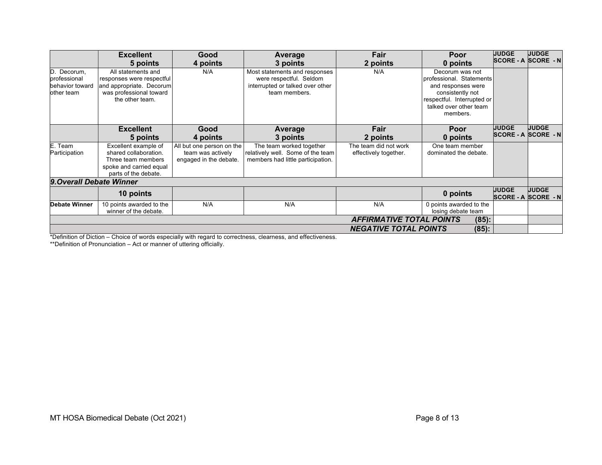|                               | <b>Excellent</b><br>5 points                        | Good<br>4 points          | Average<br>3 points                                         | Fair<br>2 points             | Poor<br>0 points                       | <b>JUDGE</b> | <b>JUDGE</b><br><b>SCORE - A SCORE - N</b> |  |
|-------------------------------|-----------------------------------------------------|---------------------------|-------------------------------------------------------------|------------------------------|----------------------------------------|--------------|--------------------------------------------|--|
| D. Decorum,                   | All statements and                                  | N/A                       | Most statements and responses                               | N/A                          | Decorum was not                        |              |                                            |  |
| professional                  | responses were respectful                           |                           | were respectful. Seldom<br>interrupted or talked over other |                              | professional. Statements               |              |                                            |  |
| behavior toward<br>other team | and appropriate. Decorum<br>was professional toward |                           | team members.                                               |                              | and responses were<br>consistently not |              |                                            |  |
|                               | the other team.                                     |                           |                                                             |                              | respectful. Interrupted or             |              |                                            |  |
|                               |                                                     |                           |                                                             |                              | talked over other team                 |              |                                            |  |
|                               |                                                     |                           |                                                             |                              | members.                               |              |                                            |  |
|                               |                                                     |                           |                                                             |                              |                                        |              |                                            |  |
|                               | <b>Excellent</b>                                    | Good                      | Average                                                     | Fair                         | Poor                                   | <b>JUDGE</b> | <b>JUDGE</b>                               |  |
|                               | 5 points                                            | 4 points                  | 3 points                                                    | 2 points                     | 0 points                               |              | <b>SCORE - A SCORE - N</b>                 |  |
| E. Team                       | Excellent example of                                | All but one person on the | The team worked together                                    | The team did not work        | One team member                        |              |                                            |  |
| Participation                 | shared collaboration.                               | team was actively         | relatively well. Some of the team                           | effectively together.        | dominated the debate.                  |              |                                            |  |
|                               | Three team members                                  | engaged in the debate.    | members had little participation.                           |                              |                                        |              |                                            |  |
|                               | spoke and carried equal                             |                           |                                                             |                              |                                        |              |                                            |  |
|                               | parts of the debate.                                |                           |                                                             |                              |                                        |              |                                            |  |
| 9. Overall Debate Winner      |                                                     |                           |                                                             |                              |                                        |              |                                            |  |
|                               | 10 points                                           |                           |                                                             |                              | 0 points                               | <b>JUDGE</b> | <b>JUDGE</b><br><b>SCORE - A SCORE - N</b> |  |
| <b>Debate Winner</b>          | 10 points awarded to the                            | N/A                       | N/A                                                         | N/A                          | 0 points awarded to the                |              |                                            |  |
|                               | winner of the debate.                               |                           |                                                             |                              | losing debate team                     |              |                                            |  |
|                               | <b>AFFIRMATIVE TOTAL POINTS</b><br>$(85)$ :         |                           |                                                             |                              |                                        |              |                                            |  |
|                               |                                                     |                           |                                                             | <b>NEGATIVE TOTAL POINTS</b> | $(85)$ :                               |              |                                            |  |

\*Definition of Diction – Choice of words especially with regard to correctness, clearness, and effectiveness.

\*\*Definition of Pronunciation – Act or manner of uttering officially.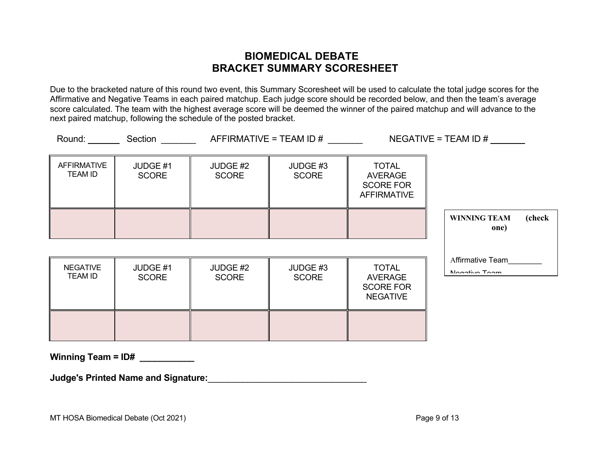## **BIOMEDICAL DEBATE BRACKET SUMMARY SCORESHEET**

Due to the bracketed nature of this round two event, this Summary Scoresheet will be used to calculate the total judge scores for the Affirmative and Negative Teams in each paired matchup. Each judge score should be recorded below, and then the team's average score calculated. The team with the highest average score will be deemed the winner of the paired matchup and will advance to the next paired matchup, following the schedule of the posted bracket.

|                                      | Round: Section           |                          | $AFFIRMATIVE = TEAM ID #$ |                                                                          | $NEGATIVE = TEAM ID #$                |
|--------------------------------------|--------------------------|--------------------------|---------------------------|--------------------------------------------------------------------------|---------------------------------------|
| <b>AFFIRMATIVE</b><br><b>TEAM ID</b> | JUDGE #1<br><b>SCORE</b> | JUDGE #2<br><b>SCORE</b> | JUDGE #3<br><b>SCORE</b>  | <b>TOTAL</b><br><b>AVERAGE</b><br><b>SCORE FOR</b><br><b>AFFIRMATIVE</b> |                                       |
|                                      |                          |                          |                           |                                                                          | (check<br><b>WINNING TEAM</b><br>one) |
| <b>NEGATIVE</b><br><b>TEAM ID</b>    | JUDGE #1<br><b>SCORE</b> | JUDGE #2<br><b>SCORE</b> | JUDGE #3<br><b>SCORE</b>  | <b>TOTAL</b><br><b>AVERAGE</b><br><b>SCORE FOR</b><br><b>NEGATIVE</b>    | Affirmative Team<br>Nogotive Toom     |
|                                      |                          |                          |                           |                                                                          |                                       |

**Winning Team = ID#** 

**Judge's Printed Name and Signature:**\_\_\_\_\_\_\_\_\_\_\_\_\_\_\_\_\_\_\_\_\_\_\_\_\_\_\_\_\_\_\_\_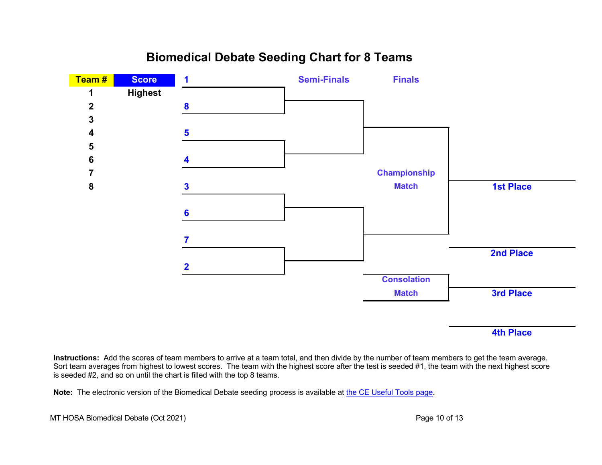## **Biomedical Debate Seeding Chart for 8 Teams Team # Score 1 Semi-Finals Finals 1 Highest**



### **4th Place**

**Instructions:** Add the scores of team members to arrive at a team total, and then divide by the number of team members to get the team average. Sort team averages from highest to lowest scores. The team with the highest score after the test is seeded #1, the team with the next highest score is seeded #2, and so on until the chart is filled with the top 8 teams.

**Note:** The electronic version of the Biomedical Debate seeding process is available at the CE Useful Tools page.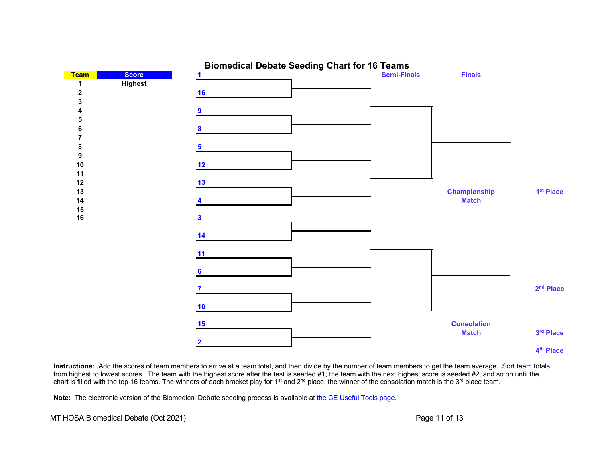

**4th Place**

**Instructions:** Add the scores of team members to arrive at a team total, and then divide by the number of team members to get the team average. Sort team totals from highest to lowest scores. The team with the highest score after the test is seeded #1, the team with the next highest score is seeded #2, and so on until the chart is filled with the top 16 teams. The winners of each bracket play for 1<sup>st</sup> and 2<sup>nd</sup> place, the winner of the consolation match is the 3<sup>rd</sup> place team.

Note: The electronic version of the Biomedical Debate seeding process is available at the CE Useful Tools page.

MT HOSA Biomedical Debate (Oct 2021) and the state of the state of the Page 11 of 13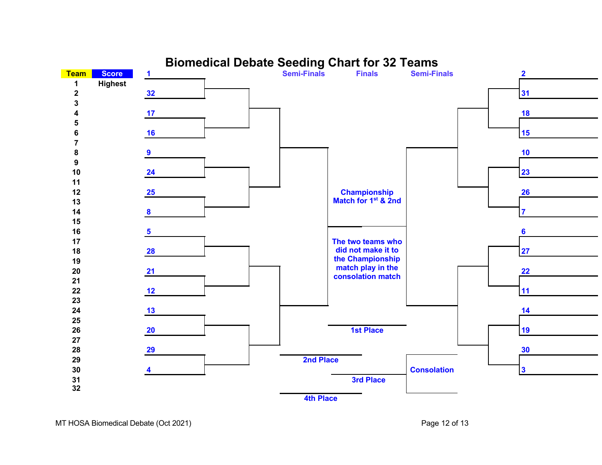